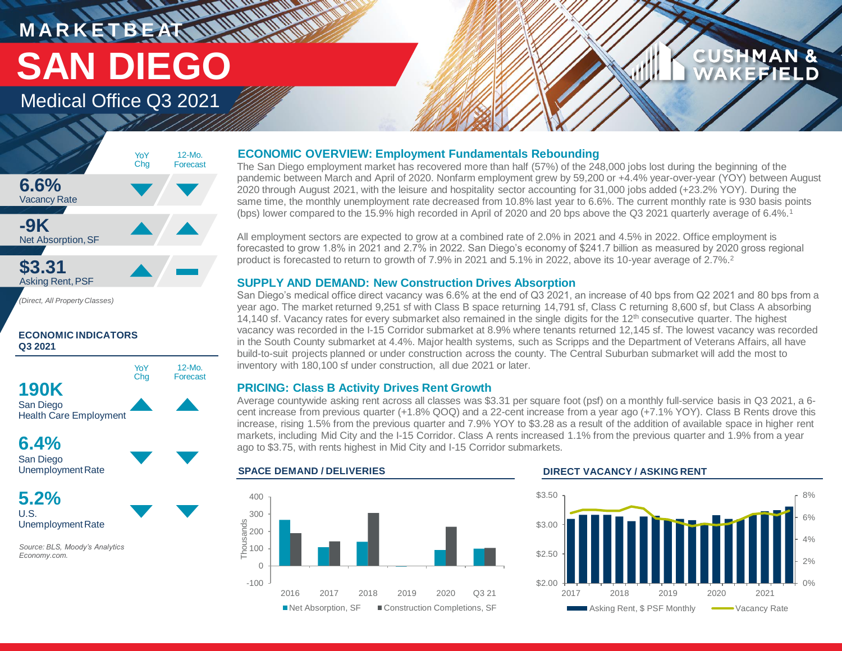# **MARKETBEAT MUNICIPAL** Medical Office Q3 2021 **SAN DIEGO**

# **CUSHMAN &** FFIEI D

## **6.6%** Vacancy Rate **-9K** Net Absorption, SF **\$3.31** Asking Rent,PSF 12-Mo. Forecast YoY Chg

*(Direct, All Property Classes)*

### **ECONOMIC INDICATORS Q3 2021**



**6.4%** San Diego Unemployment Rate

**5.2%** U.S. Unemployment Rate

*Source: BLS, Moody's Analytics Economy.com.*

## **ECONOMIC OVERVIEW: Employment Fundamentals Rebounding**

The San Diego employment market has recovered more than half (57%) of the 248,000 jobs lost during the beginning of the pandemic between March and April of 2020. Nonfarm employment grew by 59,200 or +4.4% year-over-year (YOY) between August 2020 through August 2021, with the leisure and hospitality sector accounting for 31,000 jobs added (+23.2% YOY). During the same time, the monthly unemployment rate decreased from 10.8% last year to 6.6%. The current monthly rate is 930 basis points (bps) lower compared to the 15.9% high recorded in April of 2020 and 20 bps above the Q3 2021 quarterly average of 6.4%.<sup>1</sup>

All employment sectors are expected to grow at a combined rate of 2.0% in 2021 and 4.5% in 2022. Office employment is forecasted to grow 1.8% in 2021 and 2.7% in 2022. San Diego's economy of \$241.7 billion as measured by 2020 gross regional product is forecasted to return to growth of 7.9% in 2021 and 5.1% in 2022, above its 10-year average of 2.7%.<sup>2</sup>

## **SUPPLY AND DEMAND: New Construction Drives Absorption**

San Diego's medical office direct vacancy was 6.6% at the end of Q3 2021, an increase of 40 bps from Q2 2021 and 80 bps from a year ago. The market returned 9,251 sf with Class B space returning 14,791 sf, Class C returning 8,600 sf, but Class A absorbing 14,140 sf. Vacancy rates for every submarket also remained in the single digits for the 12<sup>th</sup> consecutive quarter. The highest vacancy was recorded in the I-15 Corridor submarket at 8.9% where tenants returned 12,145 sf. The lowest vacancy was recorded in the South County submarket at 4.4%. Major health systems, such as Scripps and the Department of Veterans Affairs, all have build-to-suit projects planned or under construction across the county. The Central Suburban submarket will add the most to inventory with 180,100 sf under construction, all due 2021 or later.

## **PRICING: Class B Activity Drives Rent Growth**

Average countywide asking rent across all classes was \$3.31 per square foot (psf) on a monthly full-service basis in Q3 2021, a 6 cent increase from previous quarter (+1.8% QOQ) and a 22-cent increase from a year ago (+7.1% YOY). Class B Rents drove this increase, rising 1.5% from the previous quarter and 7.9% YOY to \$3.28 as a result of the addition of available space in higher rent markets, including Mid City and the I-15 Corridor. Class A rents increased 1.1% from the previous quarter and 1.9% from a year ago to \$3.75, with rents highest in Mid City and I-15 Corridor submarkets.



### **SPACE DEMAND / DELIVERIES DIRECT VACANCY / ASKING RENT**